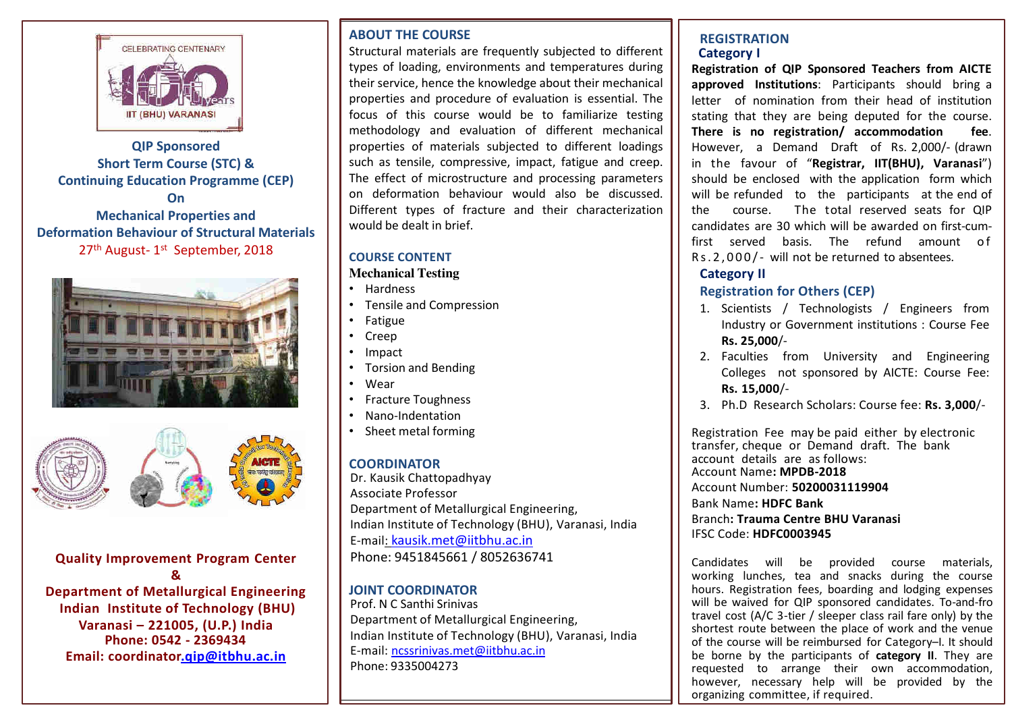

# **QIP Sponsored Short Term Course (STC) & Continuing Education Programme (CEP) On Mechanical Properties and Deformation Behaviour of Structural Materials**  27<sup>th</sup> August-1<sup>st</sup> September, 2018





## **Quality Improvement Program Center &**

**Department of Metallurgical Engineering Indian Institute of Technology (BHU) Varanasi – 221005, (U.P.) India Phone: 0542 - 2369434 Email: coordinato[r.qip@itbhu.ac.in](mailto:qip@itbhu.ac.in)**

## **ABOUT THE COURSE**

Structural materials are frequently subjected to different types of loading, environments and temperatures during their service, hence the knowledge about their mechanical properties and procedure of evaluation is essential. The focus of this course would be to familiarize testing methodology and evaluation of different mechanical properties of materials subjected to different loadings such as tensile, compressive, impact, fatigue and creep. The effect of microstructure and processing parameters on deformation behaviour would also be discussed. Different types of fracture and their characterization would be dealt in brief.

## **COURSE CONTENT**

### **Mechanical Testing**

- Hardness
- Tensile and Compression
- Fatigue
- Creep
- Impact
- Torsion and Bending
- Wear
- Fracture Toughness
- Nano-Indentation
- Sheet metal forming

# **COORDINATOR**

Dr. Kausik Chattopadhyay Associate Professor Department of Metallurgical Engineering, Indian Institute of Technology (BHU), Varanasi, India E-mail: [kausik.met@iitbhu.ac.in](mailto:kausik.met@iitbhu.ac.in) Phone: 9451845661 / 8052636741

## **JOINT COORDINATOR**

Prof. N C Santhi Srinivas Department of Metallurgical Engineering, Indian Institute of Technology (BHU), Varanasi, India E-mail: [ncssrinivas.met@iitbhu.ac.in](mailto:ncssrinivas.met@iitbhu.ac.in) Phone: 9335004273

### **REGISTRATION Category I**

**Registration of QIP Sponsored Teachers from AICTE approved Institutions**: Participants should bring a letter of nomination from their head of institution stating that they are being deputed for the course. **There is no registration/ accommodation fee**. However, a Demand Draft of Rs. 2,000/- (drawn in the favour of "**Registrar, IIT(BHU), Varanasi**") should be enclosed with the application form which will be refunded to the participants at the end of the course. The total reserved seats for QIP candidates are 30 which will be awarded on first-cumfirst served basis. The refund amount of Rs.2,000/- will not be returned to absentees.

# **Category II**

# **Registration for Others (CEP)**

- 1. Scientists / Technologists / Engineers from Industry or Government institutions : Course Fee **Rs. 25,000**/-
- 2. Faculties from University and Engineering Colleges not sponsored by AICTE: Course Fee: **Rs. 15,000**/-
- 3. Ph.D Research Scholars: Course fee: **Rs. 3,000**/-

Registration Fee may be paid either by electronic transfer, cheque or Demand draft. The bank account details are as follows: Account Name**: MPDB-2018** Account Number: **50200031119904** Bank Name**: HDFC Bank**  Branch**: Trauma Centre BHU Varanasi**  IFSC Code: **HDFC0003945** 

Candidates will be provided course materials, working lunches, tea and snacks during the course hours. Registration fees, boarding and lodging expenses will be waived for QIP sponsored candidates. To-and-fro travel cost (A/C 3-tier / sleeper class rail fare only) by the shortest route between the place of work and the venue of the course will be reimbursed for Category–I. It should be borne by the participants of **category II**. They are requested to arrange their own accommodation, however, necessary help will be provided by the organizing committee, if required.